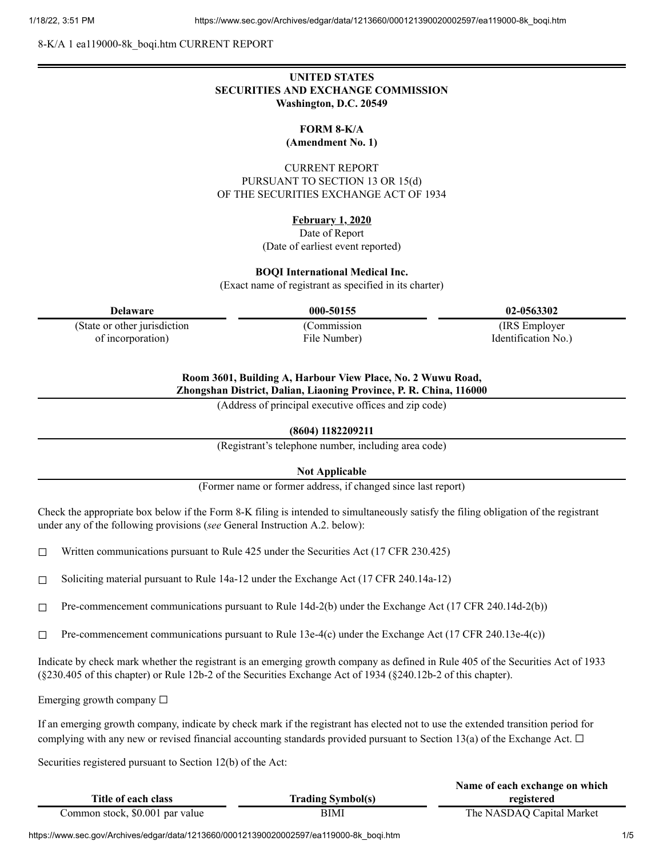8-K/A 1 ea119000-8k\_boqi.htm CURRENT REPORT

## **UNITED STATES SECURITIES AND EXCHANGE COMMISSION Washington, D.C. 20549**

**FORM 8-K/A (Amendment No. 1)**

CURRENT REPORT PURSUANT TO SECTION 13 OR 15(d) OF THE SECURITIES EXCHANGE ACT OF 1934

# **February 1, 2020**

Date of Report (Date of earliest event reported)

#### **BOQI International Medical Inc.**

(Exact name of registrant as specified in its charter)

(State or other jurisdiction of incorporation)

(Commission File Number)

**Delaware 000-50155 02-0563302**

(IRS Employer Identification No.)

# **Room 3601, Building A, Harbour View Place, No. 2 Wuwu Road,**

**Zhongshan District, Dalian, Liaoning Province, P. R. China, 116000**

(Address of principal executive offices and zip code)

#### **(8604) 1182209211**

(Registrant's telephone number, including area code)

**Not Applicable**

(Former name or former address, if changed since last report)

Check the appropriate box below if the Form 8-K filing is intended to simultaneously satisfy the filing obligation of the registrant under any of the following provisions (*see* General Instruction A.2. below):

 $\Box$  Written communications pursuant to Rule 425 under the Securities Act (17 CFR 230.425)

□ Soliciting material pursuant to Rule  $14a-12$  under the Exchange Act (17 CFR 240.14a-12)

☐ Pre-commencement communications pursuant to Rule 14d-2(b) under the Exchange Act (17 CFR 240.14d-2(b))

 $\Box$  Pre-commencement communications pursuant to Rule 13e-4(c) under the Exchange Act (17 CFR 240.13e-4(c))

Indicate by check mark whether the registrant is an emerging growth company as defined in Rule 405 of the Securities Act of 1933 (§230.405 of this chapter) or Rule 12b-2 of the Securities Exchange Act of 1934 (§240.12b-2 of this chapter).

Emerging growth company  $\Box$ 

If an emerging growth company, indicate by check mark if the registrant has elected not to use the extended transition period for complying with any new or revised financial accounting standards provided pursuant to Section 13(a) of the Exchange Act.  $\Box$ 

Securities registered pursuant to Section 12(b) of the Act:

|                                 |                          | Name of each exchange on which |
|---------------------------------|--------------------------|--------------------------------|
| Title of each class             | <b>Trading Symbol(s)</b> | registered                     |
| Common stock, \$0.001 par value | BIMI                     | The NASDAQ Capital Market      |

https://www.sec.gov/Archives/edgar/data/1213660/000121390020002597/ea119000-8k\_boqi.htm 1/5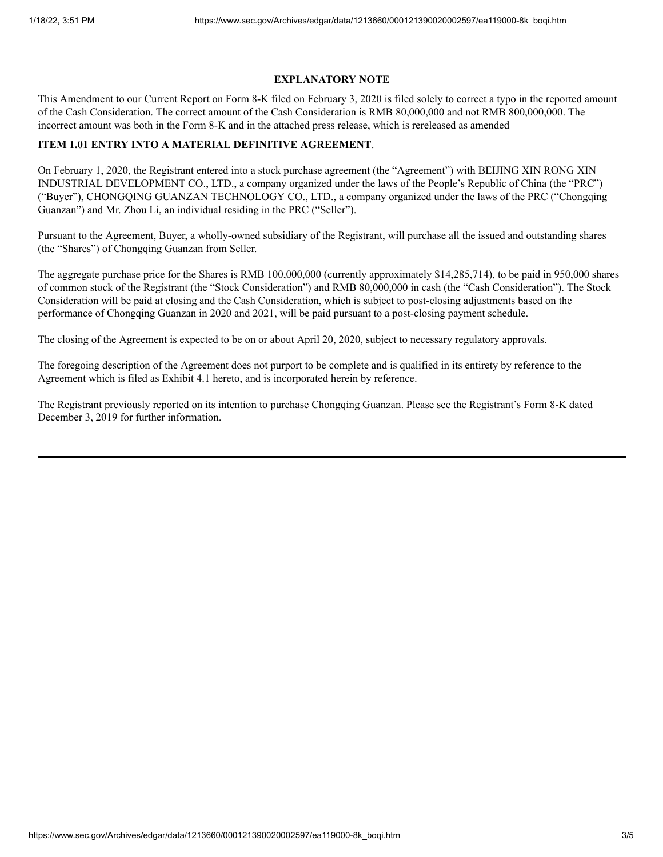### **EXPLANATORY NOTE**

This Amendment to our Current Report on Form 8-K filed on February 3, 2020 is filed solely to correct a typo in the reported amount of the Cash Consideration. The correct amount of the Cash Consideration is RMB 80,000,000 and not RMB 800,000,000. The incorrect amount was both in the Form 8-K and in the attached press release, which is rereleased as amended

## **ITEM 1.01 ENTRY INTO A MATERIAL DEFINITIVE AGREEMENT**.

On February 1, 2020, the Registrant entered into a stock purchase agreement (the "Agreement") with BEIJING XIN RONG XIN INDUSTRIAL DEVELOPMENT CO., LTD., a company organized under the laws of the People's Republic of China (the "PRC") ("Buyer"), CHONGQING GUANZAN TECHNOLOGY CO., LTD., a company organized under the laws of the PRC ("Chongqing Guanzan") and Mr. Zhou Li, an individual residing in the PRC ("Seller").

Pursuant to the Agreement, Buyer, a wholly-owned subsidiary of the Registrant, will purchase all the issued and outstanding shares (the "Shares") of Chongqing Guanzan from Seller.

The aggregate purchase price for the Shares is RMB 100,000,000 (currently approximately \$14,285,714), to be paid in 950,000 shares of common stock of the Registrant (the "Stock Consideration") and RMB 80,000,000 in cash (the "Cash Consideration"). The Stock Consideration will be paid at closing and the Cash Consideration, which is subject to post-closing adjustments based on the performance of Chongqing Guanzan in 2020 and 2021, will be paid pursuant to a post-closing payment schedule.

The closing of the Agreement is expected to be on or about April 20, 2020, subject to necessary regulatory approvals.

The foregoing description of the Agreement does not purport to be complete and is qualified in its entirety by reference to the Agreement which is filed as Exhibit 4.1 hereto, and is incorporated herein by reference.

The Registrant previously reported on its intention to purchase Chongqing Guanzan. Please see the Registrant's Form 8-K dated December 3, 2019 for further information.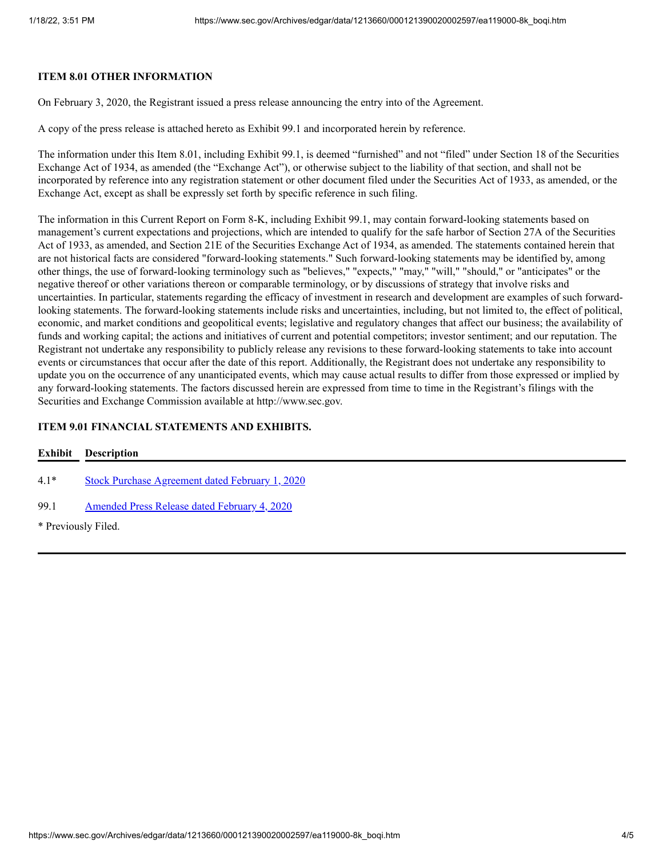## **ITEM 8.01 OTHER INFORMATION**

On February 3, 2020, the Registrant issued a press release announcing the entry into of the Agreement.

A copy of the press release is attached hereto as Exhibit 99.1 and incorporated herein by reference.

The information under this Item 8.01, including Exhibit 99.1, is deemed "furnished" and not "filed" under Section 18 of the Securities Exchange Act of 1934, as amended (the "Exchange Act"), or otherwise subject to the liability of that section, and shall not be incorporated by reference into any registration statement or other document filed under the Securities Act of 1933, as amended, or the Exchange Act, except as shall be expressly set forth by specific reference in such filing.

The information in this Current Report on Form 8-K, including Exhibit 99.1, may contain forward-looking statements based on management's current expectations and projections, which are intended to qualify for the safe harbor of Section 27A of the Securities Act of 1933, as amended, and Section 21E of the Securities Exchange Act of 1934, as amended. The statements contained herein that are not historical facts are considered "forward-looking statements." Such forward-looking statements may be identified by, among other things, the use of forward-looking terminology such as "believes," "expects," "may," "will," "should," or "anticipates" or the negative thereof or other variations thereon or comparable terminology, or by discussions of strategy that involve risks and uncertainties. In particular, statements regarding the efficacy of investment in research and development are examples of such forwardlooking statements. The forward-looking statements include risks and uncertainties, including, but not limited to, the effect of political, economic, and market conditions and geopolitical events; legislative and regulatory changes that affect our business; the availability of funds and working capital; the actions and initiatives of current and potential competitors; investor sentiment; and our reputation. The Registrant not undertake any responsibility to publicly release any revisions to these forward-looking statements to take into account events or circumstances that occur after the date of this report. Additionally, the Registrant does not undertake any responsibility to update you on the occurrence of any unanticipated events, which may cause actual results to differ from those expressed or implied by any forward-looking statements. The factors discussed herein are expressed from time to time in the Registrant's filings with the Securities and Exchange Commission available at http://www.sec.gov.

# **ITEM 9.01 FINANCIAL STATEMENTS AND EXHIBITS.**

| Exhibit             | <b>Description</b>                                     |
|---------------------|--------------------------------------------------------|
| $4.1*$              | <b>Stock Purchase Agreement dated February 1, 2020</b> |
| 99.1                | Amended Press Release dated February 4, 2020           |
| * Previously Filed. |                                                        |